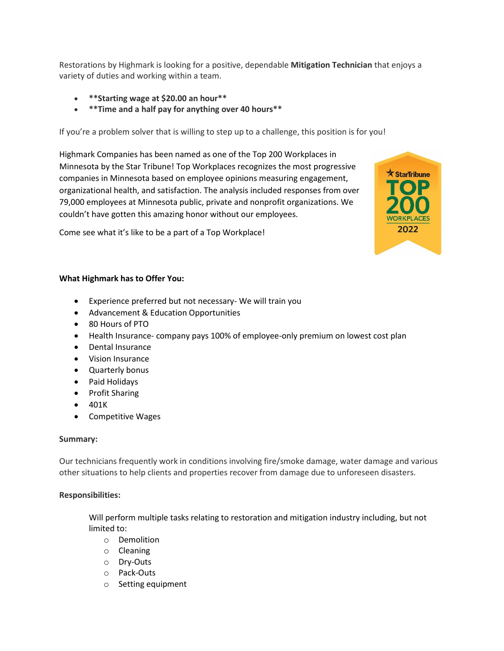Restorations by Highmark is looking for a positive, dependable **Mitigation Technician** that enjoys a variety of duties and working within a team.

 $\star$  StarTribune

2022

- **\*\*Starting wage at \$20.00 an hour\*\***
- **\*\*Time and a half pay for anything over 40 hours\*\***

If you're a problem solver that is willing to step up to a challenge, this position is for you!

Highmark Companies has been named as one of the Top 200 Workplaces in Minnesota by the Star Tribune! Top Workplaces recognizes the most progressive companies in Minnesota based on employee opinions measuring engagement, organizational health, and satisfaction. The analysis included responses from over 79,000 employees at Minnesota public, private and nonprofit organizations. We couldn't have gotten this amazing honor without our employees.

Come see what it's like to be a part of a Top Workplace!



- Experience preferred but not necessary- We will train you
- Advancement & Education Opportunities
- 80 Hours of PTO
- Health Insurance- company pays 100% of employee-only premium on lowest cost plan
- Dental Insurance
- Vision Insurance
- Quarterly bonus
- Paid Holidays
- Profit Sharing
- 401K
- Competitive Wages

## **Summary:**

Our technicians frequently work in conditions involving fire/smoke damage, water damage and various other situations to help clients and properties recover from damage due to unforeseen disasters.

## **Responsibilities:**

Will perform multiple tasks relating to restoration and mitigation industry including, but not limited to:

- o Demolition
- o Cleaning
- o Dry-Outs
- o Pack-Outs
- o Setting equipment